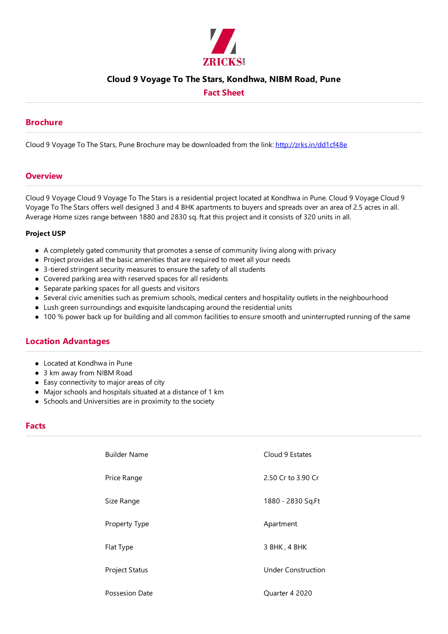

## **Cloud 9 Voyage To The Stars, Kondhwa, NIBM Road, Pune**

# **Fact Sheet**

## **Brochure**

Cloud 9 Voyage To The Stars, Pune Brochure may be downloaded from the link: http://zrks.in/dd1cf48e

#### **Overview**

Cloud 9 Voyage Cloud 9 Voyage To The Stars is a residential project located at Kondhwa in Pune. Cloud 9 Voyage Cloud 9 Voyage To The Stars offers well designed 3 and 4 BHK apartments to buyers and spreads over an area of 2.5 acres in all. Average Home sizes range between 1880 and 2830 sq. ft.at this project and it consists of 320 units in all.

#### **Project USP**

- A completely gated community that promotes a sense of community living along with privacy
- Project provides all the basic amenities that are required to meet all your needs
- 3-tiered stringent security measures to ensure the safety of all students
- Covered parking area with reserved spaces for all residents
- Separate parking spaces for all quests and visitors
- Several civic amenities such as premium schools, medical centers and hospitality outlets in the neighbourhood
- Lush green surroundings and exquisite landscaping around the residential units
- 100 % power back up for building and all common facilities to ensure smooth and uninterrupted running of the same

## **Location Advantages**

- Located at Kondhwa in Pune
- 3 km away from NIBM Road
- Easy connectivity to major areas of city
- Major schools and hospitals situated at a distance of 1 km
- Schools and Universities are in proximity to the society

#### **Facts**

| <b>Builder Name</b> | Cloud 9 Estates           |
|---------------------|---------------------------|
| Price Range         | 2.50 Cr to 3.90 Cr        |
| Size Range          | 1880 - 2830 Sq.Ft         |
| Property Type       | Apartment                 |
| Flat Type           | 3 BHK, 4 BHK              |
| Project Status      | <b>Under Construction</b> |
| Possesion Date      | Quarter 4 2020            |